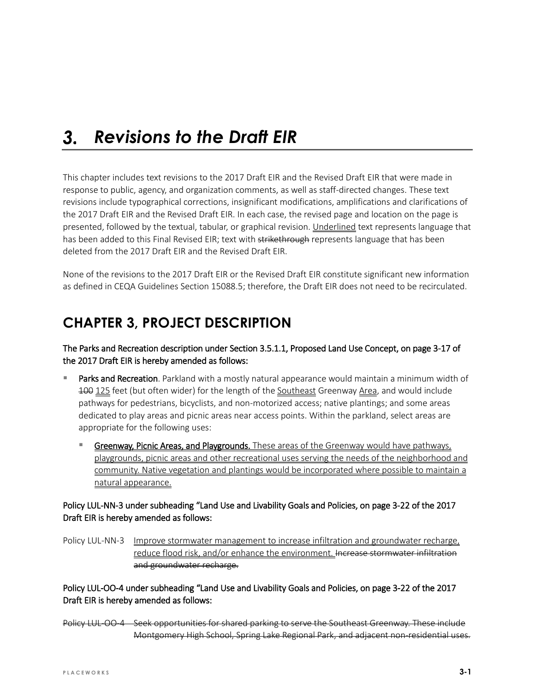#### $3.$ *Revisions to the Draft EIR*

This chapter includes text revisions to the 2017 Draft EIR and the Revised Draft EIR that were made in response to public, agency, and organization comments, as well as staff-directed changes. These text revisions include typographical corrections, insignificant modifications, amplifications and clarifications of the 2017 Draft EIR and the Revised Draft EIR. In each case, the revised page and location on the page is presented, followed by the textual, tabular, or graphical revision. Underlined text represents language that has been added to this Final Revised EIR; text with strikethrough represents language that has been deleted from the 2017 Draft EIR and the Revised Draft EIR.

None of the revisions to the 2017 Draft EIR or the Revised Draft EIR constitute significant new information as defined in CEQA Guidelines Section 15088.5; therefore, the Draft EIR does not need to be recirculated.

# **CHAPTER 3, PROJECT DESCRIPTION**

The Parks and Recreation description under Section 3.5.1.1, Proposed Land Use Concept, on page 3-17 of the 2017 Draft EIR is hereby amended as follows:

- Parks and Recreation. Parkland with a mostly natural appearance would maintain a minimum width of 100 125 feet (but often wider) for the length of the Southeast Greenway Area, and would include pathways for pedestrians, bicyclists, and non-motorized access; native plantings; and some areas dedicated to play areas and picnic areas near access points. Within the parkland, select areas are appropriate for the following uses:
	- Greenway, Picnic Areas, and Playgrounds. These areas of the Greenway would have pathways, playgrounds, picnic areas and other recreational uses serving the needs of the neighborhood and community. Native vegetation and plantings would be incorporated where possible to maintain a natural appearance.

## Policy LUL-NN-3 under subheading "Land Use and Livability Goals and Policies, on page 3-22 of the 2017 Draft EIR is hereby amended as follows:

Policy LUL-NN-3 Improve stormwater management to increase infiltration and groundwater recharge, reduce flood risk, and/or enhance the environment. Increase stormwater infiltration and groundwater recharge.

Policy LUL-OO-4 under subheading "Land Use and Livability Goals and Policies, on page 3-22 of the 2017 Draft EIR is hereby amended as follows:

Policy LUL-OO-4 Seek opportunities for shared parking to serve the Southeast Greenway. These include Montgomery High School, Spring Lake Regional Park, and adjacent non-residential uses.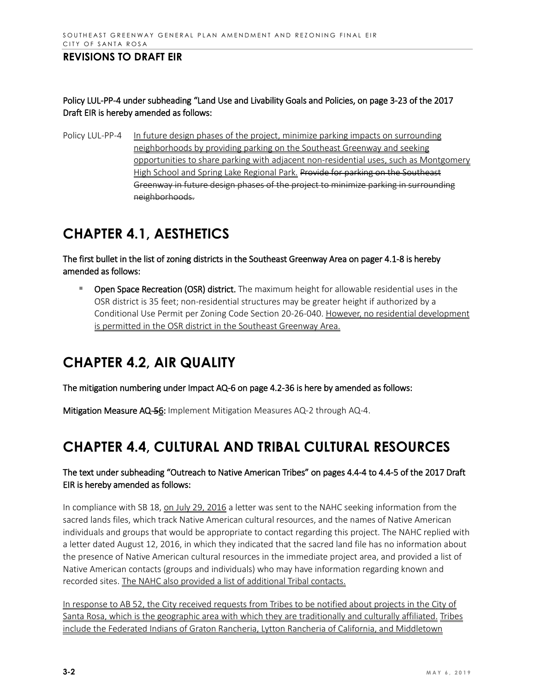## Policy LUL-PP-4 under subheading "Land Use and Livability Goals and Policies, on page 3-23 of the 2017 Draft EIR is hereby amended as follows:

Policy LUL-PP-4 In future design phases of the project, minimize parking impacts on surrounding neighborhoods by providing parking on the Southeast Greenway and seeking opportunities to share parking with adjacent non-residential uses, such as Montgomery High School and Spring Lake Regional Park. Provide for parking on the Southeast Greenway in future design phases of the project to minimize parking in surrounding neighborhoods.

# **CHAPTER 4.1, AESTHETICS**

The first bullet in the list of zoning districts in the Southeast Greenway Area on pager 4.1-8 is hereby amended as follows:

 Open Space Recreation (OSR) district. The maximum height for allowable residential uses in the OSR district is 35 feet; non-residential structures may be greater height if authorized by a Conditional Use Permit per Zoning Code Section 20-26-040. However, no residential development is permitted in the OSR district in the Southeast Greenway Area.

# **CHAPTER 4.2, AIR QUALITY**

The mitigation numbering under Impact AQ-6 on page 4.2-36 is here by amended as follows:

Mitigation Measure AQ-56: Implement Mitigation Measures AQ-2 through AQ-4.

# **CHAPTER 4.4, CULTURAL AND TRIBAL CULTURAL RESOURCES**

## The text under subheading "Outreach to Native American Tribes" on pages 4.4-4 to 4.4-5 of the 2017 Draft EIR is hereby amended as follows:

In compliance with SB 18, on July 29, 2016 a letter was sent to the NAHC seeking information from the sacred lands files, which track Native American cultural resources, and the names of Native American individuals and groups that would be appropriate to contact regarding this project. The NAHC replied with a letter dated August 12, 2016, in which they indicated that the sacred land file has no information about the presence of Native American cultural resources in the immediate project area, and provided a list of Native American contacts (groups and individuals) who may have information regarding known and recorded sites. The NAHC also provided a list of additional Tribal contacts.

In response to AB 52, the City received requests from Tribes to be notified about projects in the City of Santa Rosa, which is the geographic area with which they are traditionally and culturally affiliated. Tribes include the Federated Indians of Graton Rancheria, Lytton Rancheria of California, and Middletown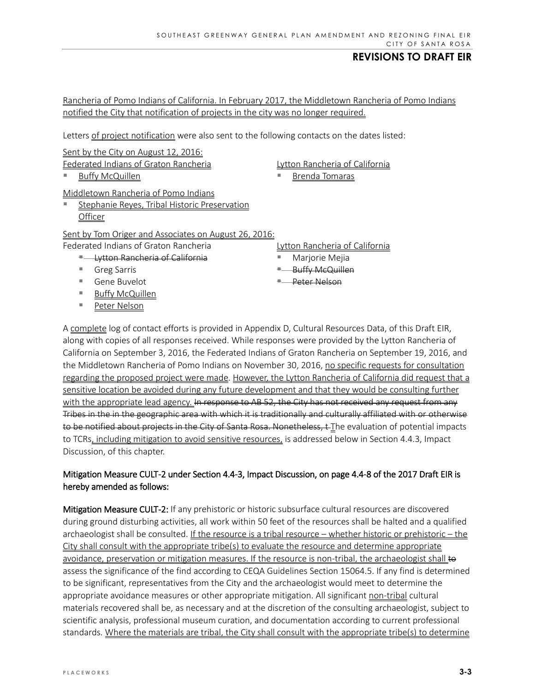Rancheria of Pomo Indians of California. In February 2017, the Middletown Rancheria of Pomo Indians notified the City that notification of projects in the city was no longer required.

Letters of project notification were also sent to the following contacts on the dates listed:

Sent by the City on August 12, 2016:

Federated Indians of Graton Rancheria

Buffy McQuillen

Middletown Rancheria of Pomo Indians

 Stephanie Reyes, Tribal Historic Preservation **Officer** 

### Sent by Tom Origer and Associates on August 26, 2016:

Federated Indians of Graton Rancheria

- **E** Lytton Rancheria of California
- Greg Sarris
- Gene Buvelot
- **Buffy McQuillen**
- Peter Nelson

Lytton Rancheria of California

- Brenda Tomaras
- Lytton Rancheria of California
- Marjorie Mejia
- **Buffy McQuillen**
- Peter Nelson

A complete log of contact efforts is provided in Appendix D, Cultural Resources Data, of this Draft EIR, along with copies of all responses received. While responses were provided by the Lytton Rancheria of California on September 3, 2016, the Federated Indians of Graton Rancheria on September 19, 2016, and the Middletown Rancheria of Pomo Indians on November 30, 2016, no specific requests for consultation regarding the proposed project were made. However, the Lytton Rancheria of California did request that a sensitive location be avoided during any future development and that they would be consulting further with the appropriate lead agency. In response to AB 52, the City has not received any request from any Tribes in the in the geographic area with which it is traditionally and culturally affiliated with or otherwise to be notified about projects in the City of Santa Rosa. Nonetheless, t-The evaluation of potential impacts to TCRs, including mitigation to avoid sensitive resources, is addressed below in Section 4.4.3, Impact Discussion, of this chapter.

## Mitigation Measure CULT-2 under Section 4.4-3, Impact Discussion, on page 4.4-8 of the 2017 Draft EIR is hereby amended as follows:

Mitigation Measure CULT-2: If any prehistoric or historic subsurface cultural resources are discovered during ground disturbing activities, all work within 50 feet of the resources shall be halted and a qualified archaeologist shall be consulted. If the resource is a tribal resource – whether historic or prehistoric – the City shall consult with the appropriate tribe(s) to evaluate the resource and determine appropriate avoidance, preservation or mitigation measures. If the resource is non-tribal, the archaeologist shall to assess the significance of the find according to CEQA Guidelines Section 15064.5. If any find is determined to be significant, representatives from the City and the archaeologist would meet to determine the appropriate avoidance measures or other appropriate mitigation. All significant non-tribal cultural materials recovered shall be, as necessary and at the discretion of the consulting archaeologist, subject to scientific analysis, professional museum curation, and documentation according to current professional standards. Where the materials are tribal, the City shall consult with the appropriate tribe(s) to determine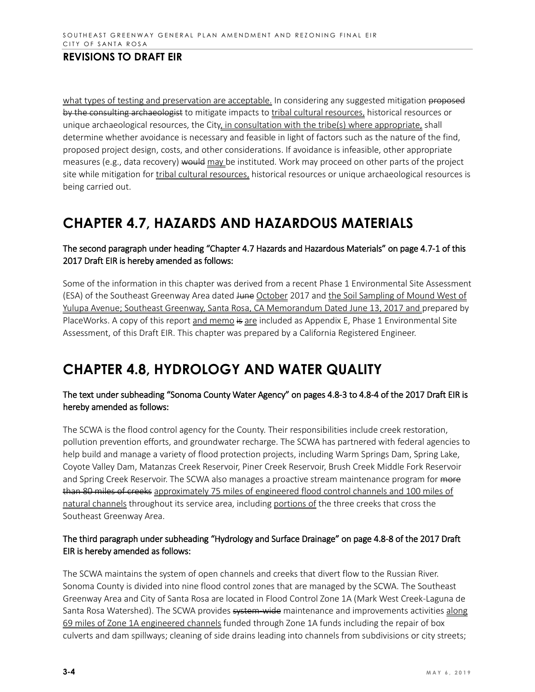what types of testing and preservation are acceptable. In considering any suggested mitigation proposed by the consulting archaeologist to mitigate impacts to tribal cultural resources, historical resources or unique archaeological resources, the City, in consultation with the tribe(s) where appropriate, shall determine whether avoidance is necessary and feasible in light of factors such as the nature of the find, proposed project design, costs, and other considerations. If avoidance is infeasible, other appropriate measures (e.g., data recovery) would may be instituted. Work may proceed on other parts of the project site while mitigation for tribal cultural resources, historical resources or unique archaeological resources is being carried out.

# **CHAPTER 4.7, HAZARDS AND HAZARDOUS MATERIALS**

## The second paragraph under heading "Chapter 4.7 Hazards and Hazardous Materials" on page 4.7-1 of this 2017 Draft EIR is hereby amended as follows:

Some of the information in this chapter was derived from a recent Phase 1 Environmental Site Assessment (ESA) of the Southeast Greenway Area dated June October 2017 and the Soil Sampling of Mound West of Yulupa Avenue; Southeast Greenway, Santa Rosa, CA Memorandum Dated June 13, 2017 and prepared by PlaceWorks. A copy of this report and memo is are included as Appendix E, Phase 1 Environmental Site Assessment, of this Draft EIR. This chapter was prepared by a California Registered Engineer.

# **CHAPTER 4.8, HYDROLOGY AND WATER QUALITY**

## The text under subheading "Sonoma County Water Agency" on pages 4.8-3 to 4.8-4 of the 2017 Draft EIR is hereby amended as follows:

The SCWA is the flood control agency for the County. Their responsibilities include creek restoration, pollution prevention efforts, and groundwater recharge. The SCWA has partnered with federal agencies to help build and manage a variety of flood protection projects, including Warm Springs Dam, Spring Lake, Coyote Valley Dam, Matanzas Creek Reservoir, Piner Creek Reservoir, Brush Creek Middle Fork Reservoir and Spring Creek Reservoir. The SCWA also manages a proactive stream maintenance program for more than 80 miles of creeks approximately 75 miles of engineered flood control channels and 100 miles of natural channels throughout its service area, including portions of the three creeks that cross the Southeast Greenway Area.

## The third paragraph under subheading "Hydrology and Surface Drainage" on page 4.8-8 of the 2017 Draft EIR is hereby amended as follows:

The SCWA maintains the system of open channels and creeks that divert flow to the Russian River. Sonoma County is divided into nine flood control zones that are managed by the SCWA. The Southeast Greenway Area and City of Santa Rosa are located in Flood Control Zone 1A (Mark West Creek-Laguna de Santa Rosa Watershed). The SCWA provides system wide maintenance and improvements activities along 69 miles of Zone 1A engineered channels funded through Zone 1A funds including the repair of box culverts and dam spillways; cleaning of side drains leading into channels from subdivisions or city streets;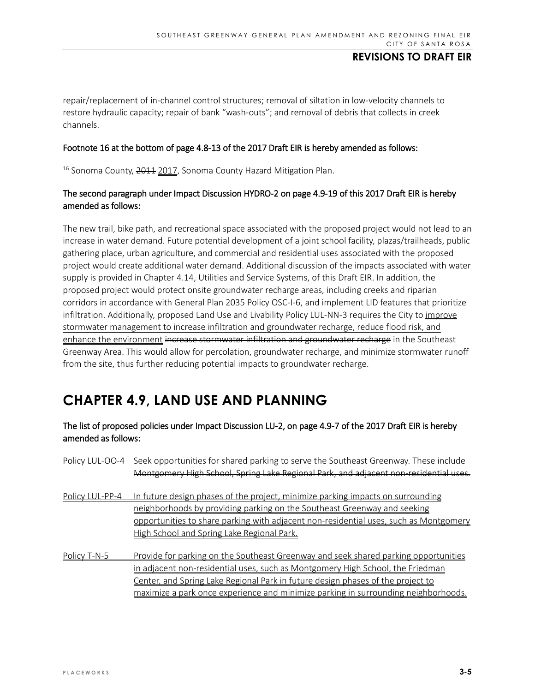repair/replacement of in-channel control structures; removal of siltation in low-velocity channels to restore hydraulic capacity; repair of bank "wash-outs"; and removal of debris that collects in creek channels.

#### Footnote 16 at the bottom of page 4.8-13 of the 2017 Draft EIR is hereby amended as follows:

<sup>16</sup> Sonoma County, 2011 2017, Sonoma County Hazard Mitigation Plan.

## The second paragraph under Impact Discussion HYDRO-2 on page 4.9-19 of this 2017 Draft EIR is hereby amended as follows:

The new trail, bike path, and recreational space associated with the proposed project would not lead to an increase in water demand. Future potential development of a joint school facility, plazas/trailheads, public gathering place, urban agriculture, and commercial and residential uses associated with the proposed project would create additional water demand. Additional discussion of the impacts associated with water supply is provided in Chapter 4.14, Utilities and Service Systems, of this Draft EIR. In addition, the proposed project would protect onsite groundwater recharge areas, including creeks and riparian corridors in accordance with General Plan 2035 Policy OSC-I-6, and implement LID features that prioritize infiltration. Additionally, proposed Land Use and Livability Policy LUL-NN-3 requires the City to improve stormwater management to increase infiltration and groundwater recharge, reduce flood risk, and enhance the environment increase stormwater infiltration and groundwater recharge in the Southeast Greenway Area. This would allow for percolation, groundwater recharge, and minimize stormwater runoff from the site, thus further reducing potential impacts to groundwater recharge.

# **CHAPTER 4.9, LAND USE AND PLANNING**

## The list of proposed policies under Impact Discussion LU-2, on page 4.9-7 of the 2017 Draft EIR is hereby amended as follows:

| Policy LUL-00-4 | Seek opportunities for shared parking to serve the Southeast Greenway. These include  |
|-----------------|---------------------------------------------------------------------------------------|
|                 | Montgomery High School, Spring Lake Regional Park, and adjacent non residential uses. |
| Policy LUL-PP-4 | In future design phases of the project, minimize parking impacts on surrounding       |
|                 | neighborhoods by providing parking on the Southeast Greenway and seeking              |
|                 | opportunities to share parking with adjacent non-residential uses, such as Montgomery |
|                 | High School and Spring Lake Regional Park.                                            |
| Policy T-N-5    | Provide for parking on the Southeast Greenway and seek shared parking opportunities   |
|                 | in adjacent non-residential uses, such as Montgomery High School, the Friedman        |
|                 | Center, and Spring Lake Regional Park in future design phases of the project to       |
|                 | maximize a park once experience and minimize parking in surrounding neighborhoods.    |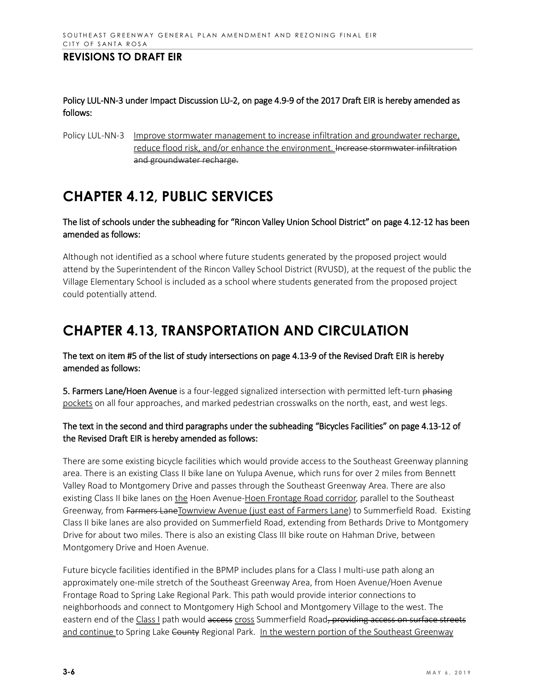Policy LUL-NN-3 under Impact Discussion LU-2, on page 4.9-9 of the 2017 Draft EIR is hereby amended as follows:

Policy LUL-NN-3 Improve stormwater management to increase infiltration and groundwater recharge, reduce flood risk, and/or enhance the environment. Increase stormwater infiltration and groundwater recharge.

# **CHAPTER 4.12, PUBLIC SERVICES**

### The list of schools under the subheading for "Rincon Valley Union School District" on page 4.12-12 has been amended as follows:

Although not identified as a school where future students generated by the proposed project would attend by the Superintendent of the Rincon Valley School District (RVUSD), at the request of the public the Village Elementary School is included as a school where students generated from the proposed project could potentially attend.

# **CHAPTER 4.13, TRANSPORTATION AND CIRCULATION**

The text on item #5 of the list of study intersections on page 4.13-9 of the Revised Draft EIR is hereby amended as follows:

5. Farmers Lane/Hoen Avenue is a four-legged signalized intersection with permitted left-turn phasing pockets on all four approaches, and marked pedestrian crosswalks on the north, east, and west legs.

## The text in the second and third paragraphs under the subheading "Bicycles Facilities" on page 4.13-12 of the Revised Draft EIR is hereby amended as follows:

There are some existing bicycle facilities which would provide access to the Southeast Greenway planning area. There is an existing Class II bike lane on Yulupa Avenue, which runs for over 2 miles from Bennett Valley Road to Montgomery Drive and passes through the Southeast Greenway Area. There are also existing Class II bike lanes on the Hoen Avenue-Hoen Frontage Road corridor, parallel to the Southeast Greenway, from Farmers LaneTownview Avenue (just east of Farmers Lane) to Summerfield Road. Existing Class II bike lanes are also provided on Summerfield Road, extending from Bethards Drive to Montgomery Drive for about two miles. There is also an existing Class III bike route on Hahman Drive, between Montgomery Drive and Hoen Avenue.

Future bicycle facilities identified in the BPMP includes plans for a Class I multi-use path along an approximately one-mile stretch of the Southeast Greenway Area, from Hoen Avenue/Hoen Avenue Frontage Road to Spring Lake Regional Park. This path would provide interior connections to neighborhoods and connect to Montgomery High School and Montgomery Village to the west. The eastern end of the Class I path would access cross Summerfield Road, providing access on surface streets and continue to Spring Lake County Regional Park. In the western portion of the Southeast Greenway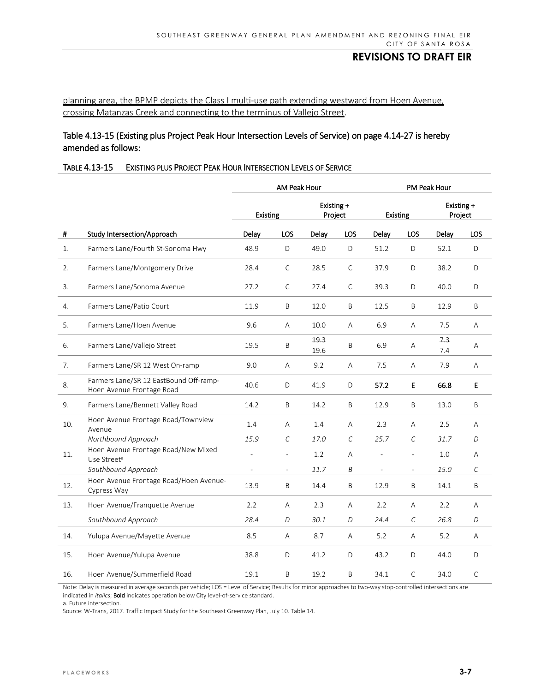## planning area, the BPMP depicts the Class I multi-use path extending westward from Hoen Avenue, crossing Matanzas Creek and connecting to the terminus of Vallejo Street.

### Table 4.13-15 (Existing plus Project Peak Hour Intersection Levels of Service) on page 4.14-27 is hereby amended as follows:

#### TABLE 4.13-15 EXISTING PLUS PROJECT PEAK HOUR INTERSECTION LEVELS OF SERVICE

|                |                                                                     | AM Peak Hour    |                          |                       |             | PM Peak Hour    |                |                       |              |
|----------------|---------------------------------------------------------------------|-----------------|--------------------------|-----------------------|-------------|-----------------|----------------|-----------------------|--------------|
|                | Study Intersection/Approach                                         | <b>Existing</b> |                          | Existing +<br>Project |             | <b>Existing</b> |                | Existing +<br>Project |              |
| $\pmb{\sharp}$ |                                                                     | Delay           | LOS                      | Delay                 | <b>LOS</b>  | Delay           | LOS            | Delay                 | LOS          |
| 1.             | Farmers Lane/Fourth St-Sonoma Hwy                                   | 48.9            | D                        | 49.0                  | D           | 51.2            | D              | 52.1                  | D            |
| 2.             | Farmers Lane/Montgomery Drive                                       | 28.4            | $\mathsf C$              | 28.5                  | $\mathsf C$ | 37.9            | D              | 38.2                  | D            |
| 3.             | Farmers Lane/Sonoma Avenue                                          | 27.2            | C                        | 27.4                  | C           | 39.3            | D              | 40.0                  | D            |
| 4.             | Farmers Lane/Patio Court                                            | 11.9            | B                        | 12.0                  | Β           | 12.5            | B              | 12.9                  | B            |
| 5.             | Farmers Lane/Hoen Avenue                                            | 9.6             | A                        | 10.0                  | Α           | 6.9             | Α              | 7.5                   | Α            |
| 6.             | Farmers Lane/Vallejo Street                                         | 19.5            | Β                        | 19.3<br>19.6          | B           | 6.9             | Α              | 7.3<br>7.4            | Α            |
| 7.             | Farmers Lane/SR 12 West On-ramp                                     | 9.0             | A                        | 9.2                   | Α           | 7.5             | A              | 7.9                   | Α            |
| 8.             | Farmers Lane/SR 12 EastBound Off-ramp-<br>Hoen Avenue Frontage Road | 40.6            | D                        | 41.9                  | D           | 57.2            | E              | 66.8                  | E            |
| 9.             | Farmers Lane/Bennett Valley Road                                    | 14.2            | Β                        | 14.2                  | Β           | 12.9            | B              | 13.0                  | B            |
| 10.            | Hoen Avenue Frontage Road/Townview<br>Avenue                        | 1.4             | А                        | 1.4                   | Α           | 2.3             | Α              | 2.5                   | А            |
|                | Northbound Approach                                                 | 15.9            | С                        | 17.0                  | С           | 25.7            | $\mathcal{C}$  | 31.7                  | D            |
| 11.            | Hoen Avenue Frontage Road/New Mixed<br>Use Street <sup>a</sup>      | L,              | $\overline{\phantom{a}}$ | 1.2                   | Α           |                 | $\overline{a}$ | 1.0                   | A            |
|                | Southbound Approach                                                 | $\overline{a}$  | $\overline{\phantom{a}}$ | 11.7                  | Β           | $\overline{a}$  | $\overline{a}$ | 15.0                  | С            |
| 12.            | Hoen Avenue Frontage Road/Hoen Avenue-<br>Cypress Way               | 13.9            | B                        | 14.4                  | B           | 12.9            | B              | 14.1                  | B            |
| 13.            | Hoen Avenue/Franquette Avenue                                       | 2.2             | A                        | 2.3                   | Α           | 2.2             | A              | 2.2                   | A            |
|                | Southbound Approach                                                 | 28.4            | D                        | 30.1                  | D           | 24.4            | $\mathcal{C}$  | 26.8                  | D            |
| 14.            | Yulupa Avenue/Mayette Avenue                                        | 8.5             | Α                        | 8.7                   | Α           | 5.2             | Α              | 5.2                   | Α            |
| 15.            | Hoen Avenue/Yulupa Avenue                                           | 38.8            | D                        | 41.2                  | D           | 43.2            | D              | 44.0                  | D            |
| 16.            | Hoen Avenue/Summerfield Road                                        | 19.1            | B                        | 19.2                  | B           | 34.1            | C              | 34.0                  | $\mathsf{C}$ |

Note: Delay is measured in average seconds per vehicle; LOS = Level of Service; Results for minor approaches to two-way stop-controlled intersections are indicated in *italics*; Bold indicates operation below City level-of-service standard.

a. Future intersection.

Source: W-Trans, 2017. Traffic Impact Study for the Southeast Greenway Plan, July 10. Table 14.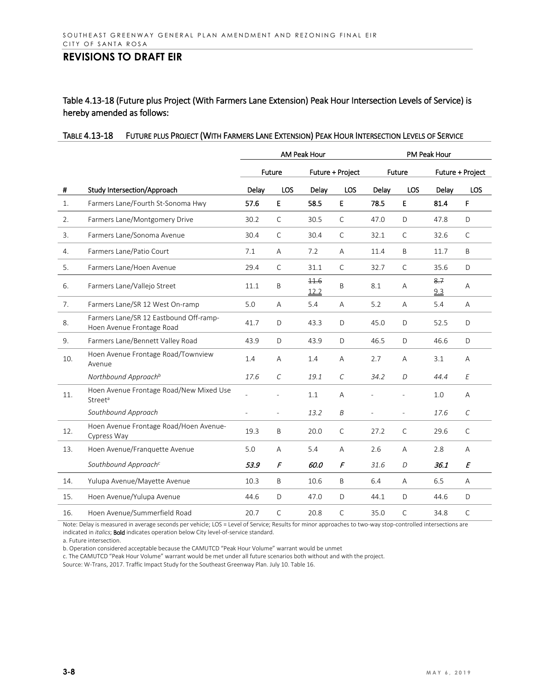Table 4.13-18 (Future plus Project (With Farmers Lane Extension) Peak Hour Intersection Levels of Service) is hereby amended as follows:

|     |                                                                     | AM Peak Hour   |               |                  | <b>PM Peak Hour</b> |        |              |                  |               |
|-----|---------------------------------------------------------------------|----------------|---------------|------------------|---------------------|--------|--------------|------------------|---------------|
|     |                                                                     | Future         |               | Future + Project |                     | Future |              | Future + Project |               |
| #   | Study Intersection/Approach                                         | Delay          | LOS           | Delay            | <b>LOS</b>          | Delay  | LOS          | Delay            | LOS           |
| 1.  | Farmers Lane/Fourth St-Sonoma Hwy                                   | 57.6           | E             | 58.5             | E                   | 78.5   | E            | 81.4             | F             |
| 2.  | Farmers Lane/Montgomery Drive                                       | 30.2           | $\mathsf{C}$  | 30.5             | C                   | 47.0   | D            | 47.8             | D             |
| 3.  | Farmers Lane/Sonoma Avenue                                          | 30.4           | $\mathsf{C}$  | 30.4             | C                   | 32.1   | $\mathsf{C}$ | 32.6             | $\mathsf{C}$  |
| 4.  | Farmers Lane/Patio Court                                            | 7.1            | A             | 7.2              | A                   | 11.4   | B            | 11.7             | B             |
| 5.  | Farmers Lane/Hoen Avenue                                            | 29.4           | $\mathsf{C}$  | 31.1             | $\mathsf{C}$        | 32.7   | $\mathsf{C}$ | 35.6             | D             |
| 6.  | Farmers Lane/Vallejo Street                                         | 11.1           | B             | 11.6<br>12.2     | B                   | 8.1    | A            | 8.7<br>9.3       | A             |
| 7.  | Farmers Lane/SR 12 West On-ramp                                     | 5.0            | A             | 5.4              | A                   | 5.2    | A            | 5.4              | Α             |
| 8.  | Farmers Lane/SR 12 Eastbound Off-ramp-<br>Hoen Avenue Frontage Road | 41.7           | D             | 43.3             | D                   | 45.0   | D            | 52.5             | D             |
| 9.  | Farmers Lane/Bennett Valley Road                                    | 43.9           | D             | 43.9             | D                   | 46.5   | D            | 46.6             | D             |
| 10. | Hoen Avenue Frontage Road/Townview<br>Avenue                        | 1.4            | A             | 1.4              | A                   | 2.7    | A            | 3.1              | A             |
|     | Northbound Approach <sup>b</sup>                                    | 17.6           | $\mathcal{C}$ | 19.1             | $\mathcal{C}$       | 34.2   | D            | 44.4             | E             |
| 11. | Hoen Avenue Frontage Road/New Mixed Use<br>Street <sup>a</sup>      | $\overline{a}$ |               | 1.1              | A                   |        |              | 1.0              | A             |
|     | Southbound Approach                                                 |                |               | 13.2             | B                   |        |              | 17.6             | $\mathcal{C}$ |
| 12. | Hoen Avenue Frontage Road/Hoen Avenue-<br>Cypress Way               | 19.3           | Β             | 20.0             | C                   | 27.2   | $\mathsf{C}$ | 29.6             | $\mathsf{C}$  |
| 13. | Hoen Avenue/Franquette Avenue                                       | 5.0            | A             | 5.4              | A                   | 2.6    | A            | 2.8              | A             |
|     | Southbound Approach <sup>c</sup>                                    | 53.9           | F             | 60.0             | F                   | 31.6   | D            | 36.1             | E             |
| 14. | Yulupa Avenue/Mayette Avenue                                        | 10.3           | B             | 10.6             | B                   | 6.4    | A            | 6.5              | A             |
| 15. | Hoen Avenue/Yulupa Avenue                                           | 44.6           | D             | 47.0             | D                   | 44.1   | D            | 44.6             | D             |
| 16. | Hoen Avenue/Summerfield Road                                        | 20.7           | $\mathsf{C}$  | 20.8             | C                   | 35.0   | $\mathsf{C}$ | 34.8             | $\mathsf{C}$  |

#### TABLE 4.13-18 FUTURE PLUS PROJECT (WITH FARMERS LANE EXTENSION) PEAK HOUR INTERSECTION LEVELS OF SERVICE

Note: Delay is measured in average seconds per vehicle; LOS = Level of Service; Results for minor approaches to two-way stop-controlled intersections are indicated in *italics*; Bold indicates operation below City level-of-service standard.

a. Future intersection.

b. Operation considered acceptable because the CAMUTCD "Peak Hour Volume" warrant would be unmet

c. The CAMUTCD "Peak Hour Volume" warrant would be met under all future scenarios both without and with the project.

Source: W-Trans, 2017. Traffic Impact Study for the Southeast Greenway Plan. July 10. Table 16.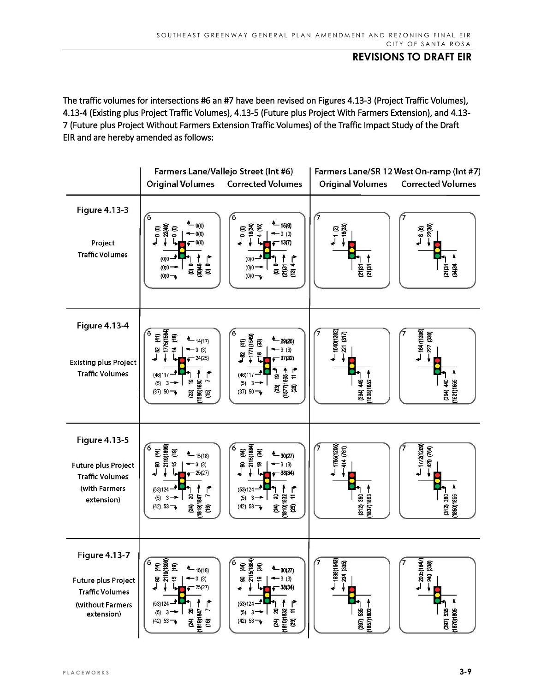The traffic volumes for intersections #6 an #7 have been revised on Figures 4.13-3 (Project Traffic Volumes), 4.13-4 (Existing plus Project Traffic Volumes), 4.13-5 (Future plus Project With Farmers Extension), and 4.13- 7 (Future plus Project Without Farmers Extension Traffic Volumes) of the Traffic Impact Study of the Draft EIR and are hereby amended as follows:

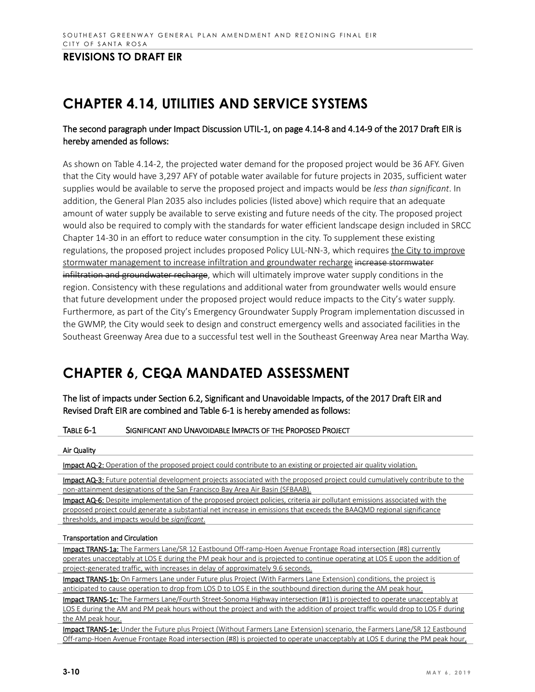# **CHAPTER 4.14, UTILITIES AND SERVICE SYSTEMS**

## The second paragraph under Impact Discussion UTIL-1, on page 4.14-8 and 4.14-9 of the 2017 Draft EIR is hereby amended as follows:

As shown on Table 4.14-2, the projected water demand for the proposed project would be 36 AFY. Given that the City would have 3,297 AFY of potable water available for future projects in 2035, sufficient water supplies would be available to serve the proposed project and impacts would be *less than significant*. In addition, the General Plan 2035 also includes policies (listed above) which require that an adequate amount of water supply be available to serve existing and future needs of the city. The proposed project would also be required to comply with the standards for water efficient landscape design included in SRCC Chapter 14-30 in an effort to reduce water consumption in the city. To supplement these existing regulations, the proposed project includes proposed Policy LUL-NN-3, which requires the City to improve stormwater management to increase infiltration and groundwater recharge increase stormwater infiltration and groundwater recharge, which will ultimately improve water supply conditions in the region. Consistency with these regulations and additional water from groundwater wells would ensure that future development under the proposed project would reduce impacts to the City's water supply. Furthermore, as part of the City's Emergency Groundwater Supply Program implementation discussed in the GWMP, the City would seek to design and construct emergency wells and associated facilities in the Southeast Greenway Area due to a successful test well in the Southeast Greenway Area near Martha Way.

# **CHAPTER 6, CEQA MANDATED ASSESSMENT**

The list of impacts under Section 6.2, Significant and Unavoidable Impacts, of the 2017 Draft EIR and Revised Draft EIR are combined and Table 6-1 is hereby amended as follows:

#### TABLE 6-1 SIGNIFICANT AND UNAVOIDABLE IMPACTS OF THE PROPOSED PROJECT

#### Air Quality

Impact AQ-2: Operation of the proposed project could contribute to an existing or projected air quality violation.

Impact AQ-3: Future potential development projects associated with the proposed project could cumulatively contribute to the non-attainment designations of the San Francisco Bay Area Air Basin (SFBAAB).

Impact AQ-6: Despite implementation of the proposed project policies, criteria air pollutant emissions associated with the proposed project could generate a substantial net increase in emissions that exceeds the BAAQMD regional significance thresholds, and impacts would be *significant*.

#### Transportation and Circulation

Impact TRANS-1a: The Farmers Lane/SR 12 Eastbound Off-ramp-Hoen Avenue Frontage Road intersection (#8) currently operates unacceptably at LOS E during the PM peak hour and is projected to continue operating at LOS E upon the addition of project-generated traffic, with increases in delay of approximately 9.6 seconds.

Impact TRANS-1b: On Farmers Lane under Future plus Project (With Farmers Lane Extension) conditions, the project is anticipated to cause operation to drop from LOS D to LOS E in the southbound direction during the AM peak hour.

Impact TRANS-1c: The Farmers Lane/Fourth Street-Sonoma Highway intersection (#1) is projected to operate unacceptably at LOS E during the AM and PM peak hours without the project and with the addition of project traffic would drop to LOS F during the AM peak hour.

Impact TRANS-1e: Under the Future plus Project (Without Farmers Lane Extension) scenario, the Farmers Lane/SR 12 Eastbound Off-ramp-Hoen Avenue Frontage Road intersection (#8) is projected to operate unacceptably at LOS E during the PM peak hour,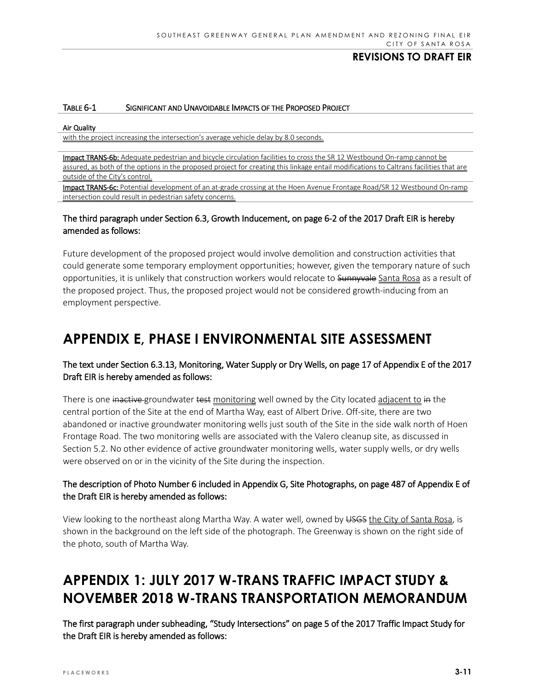#### TABLE 6-1 SIGNIFICANT AND UNAVOIDABLE IMPACTS OF THE PROPOSED PROJECT

#### Air Quality

with the project increasing the intersection's average vehicle delay by 8.0 seconds.

Impact TRANS-6b: Adequate pedestrian and bicycle circulation facilities to cross the SR 12 Westbound On-ramp cannot be assured, as both of the options in the proposed project for creating this linkage entail modifications to Caltrans facilities that are outside of the City's control.

Impact TRANS-6c: Potential development of an at-grade crossing at the Hoen Avenue Frontage Road/SR 12 Westbound On-ramp intersection could result in pedestrian safety concerns.

### The third paragraph under Section 6.3, Growth Inducement, on page 6-2 of the 2017 Draft EIR is hereby amended as follows:

Future development of the proposed project would involve demolition and construction activities that could generate some temporary employment opportunities; however, given the temporary nature of such opportunities, it is unlikely that construction workers would relocate to Sunnyvale Santa Rosa as a result of the proposed project. Thus, the proposed project would not be considered growth-inducing from an employment perspective.

# **APPENDIX E, PHASE I ENVIRONMENTAL SITE ASSESSMENT**

## The text under Section 6.3.13, Monitoring, Water Supply or Dry Wells, on page 17 of Appendix E of the 2017 Draft EIR is hereby amended as follows:

There is one inactive groundwater test monitoring well owned by the City located adjacent to in the central portion of the Site at the end of Martha Way, east of Albert Drive. Off-site, there are two abandoned or inactive groundwater monitoring wells just south of the Site in the side walk north of Hoen Frontage Road. The two monitoring wells are associated with the Valero cleanup site, as discussed in Section 5.2. No other evidence of active groundwater monitoring wells, water supply wells, or dry wells were observed on or in the vicinity of the Site during the inspection.

## The description of Photo Number 6 included in Appendix G, Site Photographs, on page 487 of Appendix E of the Draft EIR is hereby amended as follows:

View looking to the northeast along Martha Way. A water well, owned by USGS the City of Santa Rosa, is shown in the background on the left side of the photograph. The Greenway is shown on the right side of the photo, south of Martha Way.

# **APPENDIX 1: JULY 2017 W-TRANS TRAFFIC IMPACT STUDY & NOVEMBER 2018 W-TRANS TRANSPORTATION MEMORANDUM**

The first paragraph under subheading, "Study Intersections" on page 5 of the 2017 Traffic Impact Study for the Draft EIR is hereby amended as follows: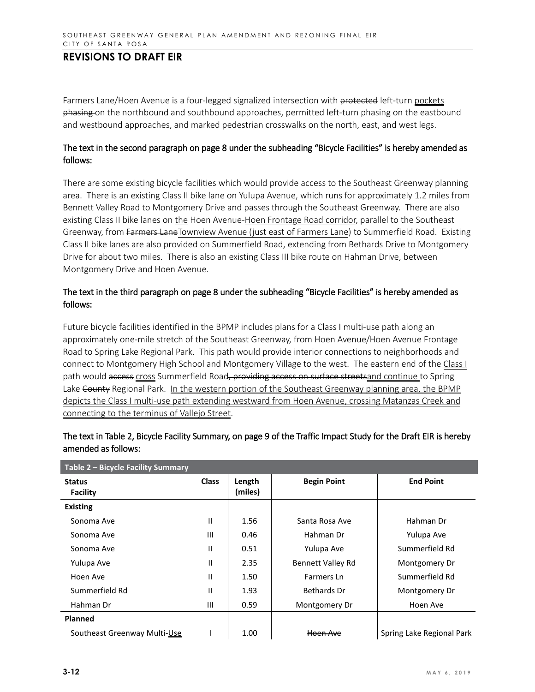Farmers Lane/Hoen Avenue is a four-legged signalized intersection with protected left-turn pockets phasing on the northbound and southbound approaches, permitted left-turn phasing on the eastbound and westbound approaches, and marked pedestrian crosswalks on the north, east, and west legs.

### The text in the second paragraph on page 8 under the subheading "Bicycle Facilities" is hereby amended as follows:

There are some existing bicycle facilities which would provide access to the Southeast Greenway planning area. There is an existing Class II bike lane on Yulupa Avenue, which runs for approximately 1.2 miles from Bennett Valley Road to Montgomery Drive and passes through the Southeast Greenway. There are also existing Class II bike lanes on the Hoen Avenue-Hoen Frontage Road corridor, parallel to the Southeast Greenway, from Farmers LaneTownview Avenue (just east of Farmers Lane) to Summerfield Road. Existing Class II bike lanes are also provided on Summerfield Road, extending from Bethards Drive to Montgomery Drive for about two miles. There is also an existing Class III bike route on Hahman Drive, between Montgomery Drive and Hoen Avenue.

### The text in the third paragraph on page 8 under the subheading "Bicycle Facilities" is hereby amended as follows:

Future bicycle facilities identified in the BPMP includes plans for a Class I multi-use path along an approximately one-mile stretch of the Southeast Greenway, from Hoen Avenue/Hoen Avenue Frontage Road to Spring Lake Regional Park. This path would provide interior connections to neighborhoods and connect to Montgomery High School and Montgomery Village to the west. The eastern end of the Class I path would access cross Summerfield Road, providing access on surface streets and continue to Spring Lake County Regional Park. In the western portion of the Southeast Greenway planning area, the BPMP depicts the Class I multi-use path extending westward from Hoen Avenue, crossing Matanzas Creek and connecting to the terminus of Vallejo Street.

| Table 2 - Bicycle Facility Summary |              |                   |                          |                           |  |  |  |
|------------------------------------|--------------|-------------------|--------------------------|---------------------------|--|--|--|
| <b>Status</b><br><b>Facility</b>   | <b>Class</b> | Length<br>(miles) | <b>Begin Point</b>       | <b>End Point</b>          |  |  |  |
| <b>Existing</b>                    |              |                   |                          |                           |  |  |  |
| Sonoma Ave                         | Ш            | 1.56              | Santa Rosa Ave           | Hahman Dr                 |  |  |  |
| Sonoma Ave                         | Ш            | 0.46              | Hahman Dr                | Yulupa Ave                |  |  |  |
| Sonoma Ave                         | Ш            | 0.51              | Yulupa Ave               | Summerfield Rd            |  |  |  |
| Yulupa Ave                         | Ш            | 2.35              | <b>Bennett Valley Rd</b> | Montgomery Dr             |  |  |  |
| Hoen Ave                           | Ш            | 1.50              | Farmers Ln               | Summerfield Rd            |  |  |  |
| Summerfield Rd                     | Ш            | 1.93              | Bethards Dr              | Montgomery Dr             |  |  |  |
| Hahman Dr                          | Ш            | 0.59              | Montgomery Dr            | Hoen Ave                  |  |  |  |
| <b>Planned</b>                     |              |                   |                          |                           |  |  |  |
| Southeast Greenway Multi-Use       |              | 1.00              | Hoen Ave                 | Spring Lake Regional Park |  |  |  |

# The text in Table 2, Bicycle Facility Summary, on page 9 of the Traffic Impact Study for the Draft EIR is hereby amended as follows: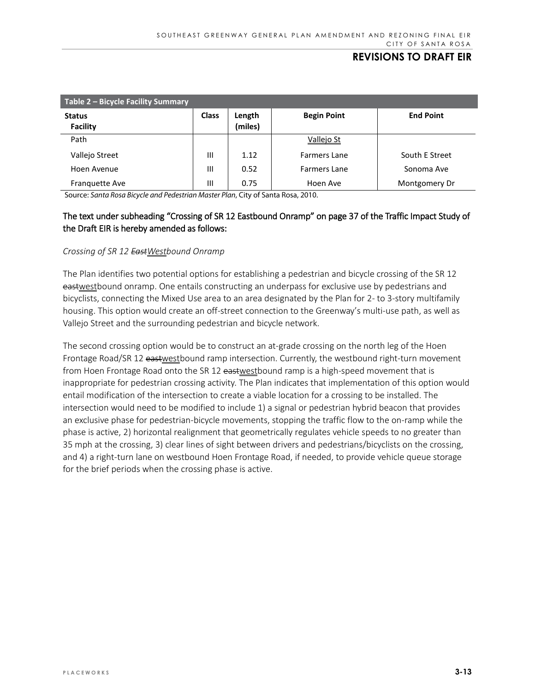| Table 2 – Bicycle Facility Summary |              |                   |                    |                  |  |  |  |
|------------------------------------|--------------|-------------------|--------------------|------------------|--|--|--|
| <b>Status</b><br>Facility          | <b>Class</b> | Length<br>(miles) | <b>Begin Point</b> | <b>End Point</b> |  |  |  |
| Path                               |              |                   | Vallejo St         |                  |  |  |  |
| Vallejo Street                     | Ш            | 1.12              | Farmers Lane       | South E Street   |  |  |  |
| Hoen Avenue                        | Ш            | 0.52              | Farmers Lane       | Sonoma Ave       |  |  |  |
| <b>Franguette Ave</b>              | Ш            | 0.75              | Hoen Ave           | Montgomery Dr    |  |  |  |

Source: *Santa Rosa Bicycle and Pedestrian Master Plan*, City of Santa Rosa, 2010.

## The text under subheading "Crossing of SR 12 Eastbound Onramp" on page 37 of the Traffic Impact Study of the Draft EIR is hereby amended as follows:

#### *Crossing of SR 12 EastWestbound Onramp*

The Plan identifies two potential options for establishing a pedestrian and bicycle crossing of the SR 12 eastwestbound onramp. One entails constructing an underpass for exclusive use by pedestrians and bicyclists, connecting the Mixed Use area to an area designated by the Plan for 2- to 3-story multifamily housing. This option would create an off-street connection to the Greenway's multi-use path, as well as Vallejo Street and the surrounding pedestrian and bicycle network.

The second crossing option would be to construct an at-grade crossing on the north leg of the Hoen Frontage Road/SR 12 eastwestbound ramp intersection. Currently, the westbound right-turn movement from Hoen Frontage Road onto the SR 12 eastwestbound ramp is a high-speed movement that is inappropriate for pedestrian crossing activity. The Plan indicates that implementation of this option would entail modification of the intersection to create a viable location for a crossing to be installed. The intersection would need to be modified to include 1) a signal or pedestrian hybrid beacon that provides an exclusive phase for pedestrian-bicycle movements, stopping the traffic flow to the on-ramp while the phase is active, 2) horizontal realignment that geometrically regulates vehicle speeds to no greater than 35 mph at the crossing, 3) clear lines of sight between drivers and pedestrians/bicyclists on the crossing, and 4) a right-turn lane on westbound Hoen Frontage Road, if needed, to provide vehicle queue storage for the brief periods when the crossing phase is active.